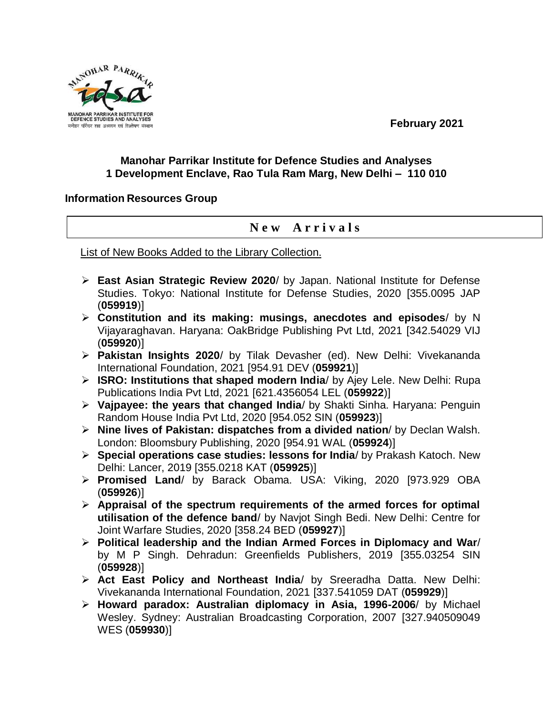MANOHAR PARRIKA **MANOHAR PARRIKAR IN** DEFENCE STUDIES AND ANALYSES मनोहर पर्रिकर रक्षा अध्ययन एवं विश्लेषण संस्थान

**February 2021**

## **Manohar Parrikar Institute for Defence Studies and Analyses 1 Development Enclave, Rao Tula Ram Marg, New Delhi – 110 010**

## **Information Resources Group**

## **N e w A r r i v a l s**

List of New Books Added to the Library Collection.

- **East Asian Strategic Review 2020**/ by Japan. National Institute for Defense Studies. Tokyo: National Institute for Defense Studies, 2020 [355.0095 JAP (**059919**)]
- **Constitution and its making: musings, anecdotes and episodes**/ by N Vijayaraghavan. Haryana: OakBridge Publishing Pvt Ltd, 2021 [342.54029 VIJ (**059920**)]
- **Pakistan Insights 2020**/ by Tilak Devasher (ed). New Delhi: Vivekananda International Foundation, 2021 [954.91 DEV (**059921**)]
- **ISRO: Institutions that shaped modern India**/ by Ajey Lele. New Delhi: Rupa Publications India Pvt Ltd, 2021 [621.4356054 LEL (**059922**)]
- **Vajpayee: the years that changed India**/ by Shakti Sinha. Haryana: Penguin Random House India Pvt Ltd, 2020 [954.052 SIN (**059923**)]
- **Nine lives of Pakistan: dispatches from a divided nation**/ by Declan Walsh. London: Bloomsbury Publishing, 2020 [954.91 WAL (**059924**)]
- **Special operations case studies: lessons for India**/ by Prakash Katoch. New Delhi: Lancer, 2019 [355.0218 KAT (**059925**)]
- **Promised Land**/ by Barack Obama. USA: Viking, 2020 [973.929 OBA (**059926**)]
- **Appraisal of the spectrum requirements of the armed forces for optimal utilisation of the defence band**/ by Navjot Singh Bedi. New Delhi: Centre for Joint Warfare Studies, 2020 [358.24 BED (**059927**)]
- **Political leadership and the Indian Armed Forces in Diplomacy and War**/ by M P Singh. Dehradun: Greenfields Publishers, 2019 [355.03254 SIN (**059928**)]
- **Act East Policy and Northeast India**/ by Sreeradha Datta. New Delhi: Vivekananda International Foundation, 2021 [337.541059 DAT (**059929**)]
- **Howard paradox: Australian diplomacy in Asia, 1996-2006**/ by Michael Wesley. Sydney: Australian Broadcasting Corporation, 2007 [327.940509049 WES (**059930**)]